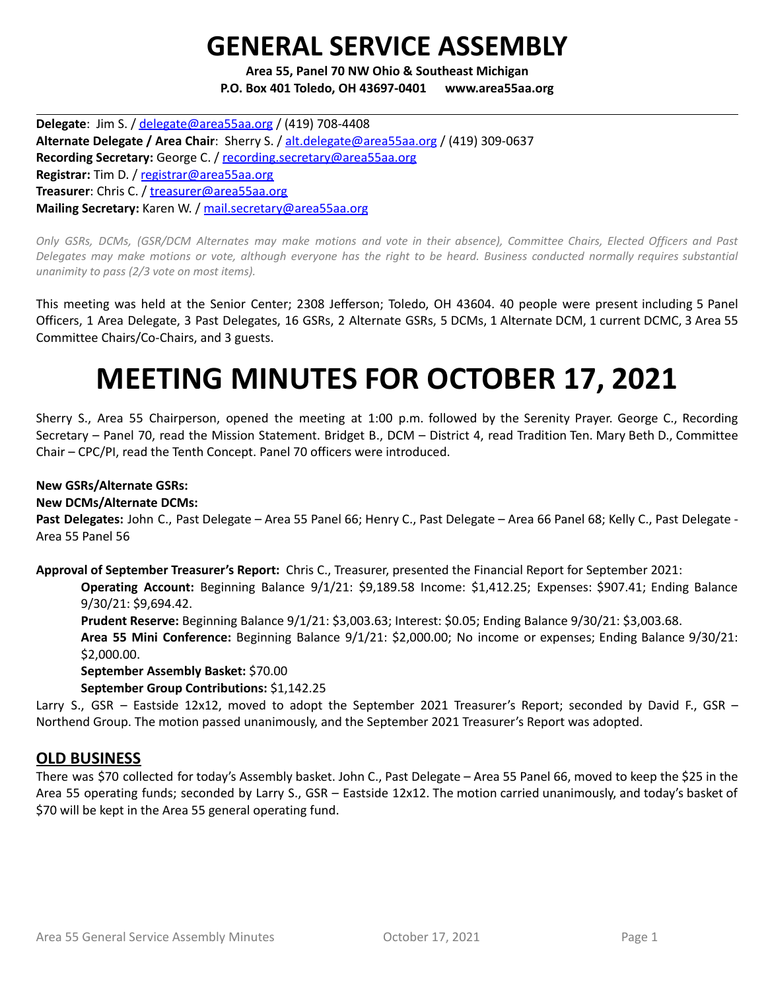# **GENERAL SERVICE ASSEMBLY**

**Area 55, Panel 70 NW Ohio & Southeast Michigan P.O. Box 401 Toledo, OH 43697-0401 www.area55aa.org**

**Delegate**: Jim S. / [delegate@area55aa.org](mailto:delegate@area55aa.org) / (419) 708-4408 **Alternate Delegate / Area Chair**: Sherry S. / [alt.delegate@area55aa.org](mailto:alt.delegate@area55aa.org) / (419) 309-0637 **Recording Secretary:** George C. / [recording.secretary@area55aa.org](mailto:recording.secretary@area55aa.org) **Registrar:** Tim D. / [registrar@area55aa.org](mailto:recording.secretary@area55aa.org) **Treasurer**: Chris C. / [treasurer@area55aa.org](mailto:recording.secretary@area55aa.org) **Mailing Secretary:** Karen W. / [mail.secretary@area55aa.org](mailto:recording.secretary@area55aa.org)

Only GSRs, DCMs, (GSR/DCM Alternates may make motions and vote in their absence), Committee Chairs, Elected Officers and Past Delegates may make motions or vote, although everyone has the right to be heard. Business conducted normally requires substantial *unanimity to pass (2/3 vote on most items).*

This meeting was held at the Senior Center; 2308 Jefferson; Toledo, OH 43604. 40 people were present including 5 Panel Officers, 1 Area Delegate, 3 Past Delegates, 16 GSRs, 2 Alternate GSRs, 5 DCMs, 1 Alternate DCM, 1 current DCMC, 3 Area 55 Committee Chairs/Co-Chairs, and 3 guests.

# **MEETING MINUTES FOR OCTOBER 17, 2021**

Sherry S., Area 55 Chairperson, opened the meeting at 1:00 p.m. followed by the Serenity Prayer. George C., Recording Secretary – Panel 70, read the Mission Statement. Bridget B., DCM – District 4, read Tradition Ten. Mary Beth D., Committee Chair – CPC/PI, read the Tenth Concept. Panel 70 officers were introduced.

#### **New GSRs/Alternate GSRs:**

#### **New DCMs/Alternate DCMs:**

**Past Delegates:** John C., Past Delegate – Area 55 Panel 66; Henry C., Past Delegate – Area 66 Panel 68; Kelly C., Past Delegate - Area 55 Panel 56

**Approval of September Treasurer's Report:** Chris C., Treasurer, presented the Financial Report for September 2021:

**Operating Account:** Beginning Balance 9/1/21: \$9,189.58 Income: \$1,412.25; Expenses: \$907.41; Ending Balance 9/30/21: \$9,694.42.

**Prudent Reserve:** Beginning Balance 9/1/21: \$3,003.63; Interest: \$0.05; Ending Balance 9/30/21: \$3,003.68.

**Area 55 Mini Conference:** Beginning Balance 9/1/21: \$2,000.00; No income or expenses; Ending Balance 9/30/21: \$2,000.00.

**September Assembly Basket:** \$70.00

**September Group Contributions:** \$1,142.25

Larry S., GSR – Eastside 12x12, moved to adopt the September 2021 Treasurer's Report; seconded by David F., GSR – Northend Group. The motion passed unanimously, and the September 2021 Treasurer's Report was adopted.

### **OLD BUSINESS**

There was \$70 collected for today's Assembly basket. John C., Past Delegate – Area 55 Panel 66, moved to keep the \$25 in the Area 55 operating funds; seconded by Larry S., GSR – Eastside 12x12. The motion carried unanimously, and today's basket of \$70 will be kept in the Area 55 general operating fund.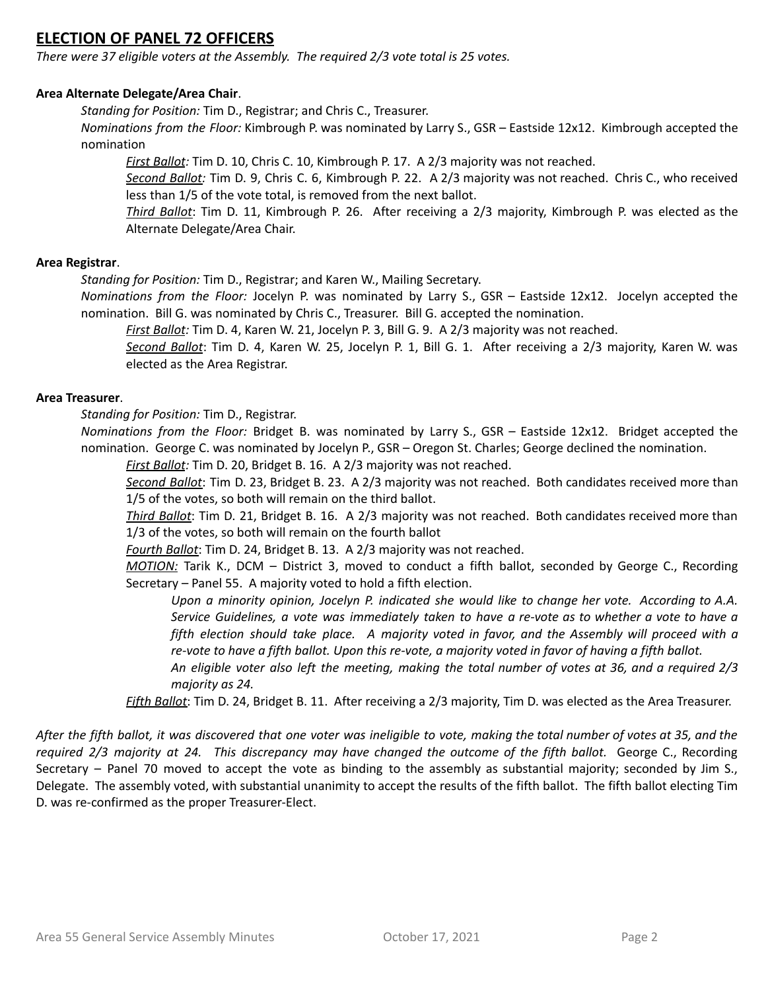### **ELECTION OF PANEL 72 OFFICERS**

*There were 37 eligible voters at the Assembly. The required 2/3 vote total is 25 votes.*

#### **Area Alternate Delegate/Area Chair**.

*Standing for Position:* Tim D., Registrar; and Chris C., Treasurer.

*Nominations from the Floor:* Kimbrough P. was nominated by Larry S., GSR – Eastside 12x12. Kimbrough accepted the nomination

*First Ballot:* Tim D. 10, Chris C. 10, Kimbrough P. 17. A 2/3 majority was not reached.

*Second Ballot:* Tim D. 9, Chris C. 6, Kimbrough P. 22. A 2/3 majority was not reached. Chris C., who received less than 1/5 of the vote total, is removed from the next ballot.

*Third Ballot*: Tim D. 11, Kimbrough P. 26. After receiving a 2/3 majority, Kimbrough P. was elected as the Alternate Delegate/Area Chair.

#### **Area Registrar**.

*Standing for Position:* Tim D., Registrar; and Karen W., Mailing Secretary.

*Nominations from the Floor:* Jocelyn P. was nominated by Larry S., GSR – Eastside 12x12. Jocelyn accepted the nomination. Bill G. was nominated by Chris C., Treasurer. Bill G. accepted the nomination.

*First Ballot:* Tim D. 4, Karen W. 21, Jocelyn P. 3, Bill G. 9. A 2/3 majority was not reached.

*Second Ballot*: Tim D. 4, Karen W. 25, Jocelyn P. 1, Bill G. 1. After receiving a 2/3 majority, Karen W. was elected as the Area Registrar.

#### **Area Treasurer**.

*Standing for Position:* Tim D., Registrar.

*Nominations from the Floor:* Bridget B. was nominated by Larry S., GSR – Eastside 12x12. Bridget accepted the nomination. George C. was nominated by Jocelyn P., GSR – Oregon St. Charles; George declined the nomination.

*First Ballot:* Tim D. 20, Bridget B. 16. A 2/3 majority was not reached.

*Second Ballot*: Tim D. 23, Bridget B. 23. A 2/3 majority was not reached. Both candidates received more than 1/5 of the votes, so both will remain on the third ballot.

*Third Ballot*: Tim D. 21, Bridget B. 16. A 2/3 majority was not reached. Both candidates received more than 1/3 of the votes, so both will remain on the fourth ballot

*Fourth Ballot*: Tim D. 24, Bridget B. 13. A 2/3 majority was not reached.

*MOTION:* Tarik K., DCM – District 3, moved to conduct a fifth ballot, seconded by George C., Recording Secretary – Panel 55. A majority voted to hold a fifth election.

*Upon a minority opinion, Jocelyn P. indicated she would like to change her vote. According to A.A.* Service Guidelines, a vote was immediately taken to have a re-vote as to whether a vote to have a *fifth election should take place. A majority voted in favor, and the Assembly will proceed with a* re-vote to have a fifth ballot. Upon this re-vote, a majority voted in favor of having a fifth ballot.

An eligible voter also left the meeting, making the total number of votes at 36, and a required 2/3 *majority as 24.*

*Fifth Ballot*: Tim D. 24, Bridget B. 11. After receiving a 2/3 majority, Tim D. was elected as the Area Treasurer.

After the fifth ballot, it was discovered that one voter was ineligible to vote, making the total number of votes at 35, and the required 2/3 majority at 24. This discrepancy may have changed the outcome of the fifth ballot. George C., Recording Secretary – Panel 70 moved to accept the vote as binding to the assembly as substantial majority; seconded by Jim S., Delegate. The assembly voted, with substantial unanimity to accept the results of the fifth ballot. The fifth ballot electing Tim D. was re-confirmed as the proper Treasurer-Elect.